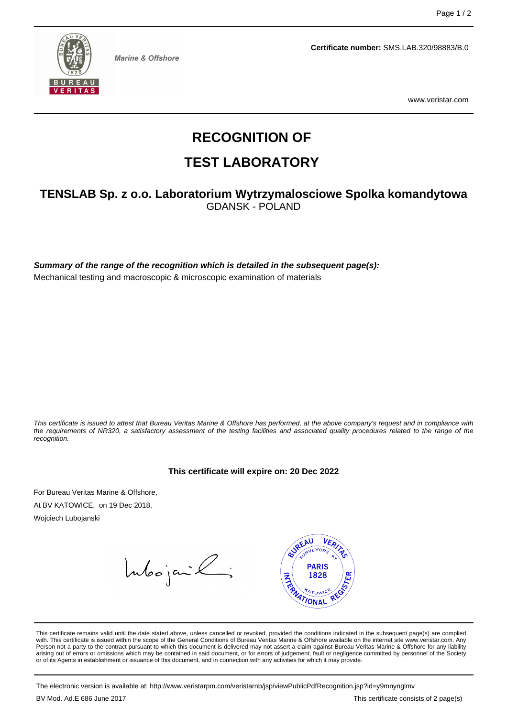

**Marine & Offshore** 

**Certificate number:** SMS.LAB.320/98883/B.0

www.veristar.com

# **RECOGNITION OF**

## **TEST LABORATORY**

### **TENSLAB Sp. z o.o. Laboratorium Wytrzymalosciowe Spolka komandytowa** GDANSK - POLAND

**Summary of the range of the recognition which is detailed in the subsequent page(s):** Mechanical testing and macroscopic & microscopic examination of materials

This certificate is issued to attest that Bureau Veritas Marine & Offshore has performed, at the above company's request and in compliance with the requirements of NR320, a satisfactory assessment of the testing facilities and associated quality procedures related to the range of the recognition.

#### **This certificate will expire on: 20 Dec 2022**

For Bureau Veritas Marine & Offshore, At BV KATOWICE, on 19 Dec 2018,

Wojciech Lubojanski

Intoojanik;



This certificate remains valid until the date stated above, unless cancelled or revoked, provided the conditions indicated in the subsequent page(s) are complied with. This certificate is issued within the scope of the General Conditions of Bureau Veritas Marine & Offshore available on the internet site www.veristar.com. Any Person not a party to the contract pursuant to which this document is delivered may not assert a claim against Bureau Veritas Marine & Offshore for any liability arising out of errors or omissions which may be contained in said document, or for errors of judgement, fault or negligence committed by personnel of the Society<br>or of its Agents in establishment or issuance of this docume

The electronic version is available at: http://www.veristarpm.com/veristarnb/jsp/viewPublicPdfRecognition.jsp?id=y9mnynglmv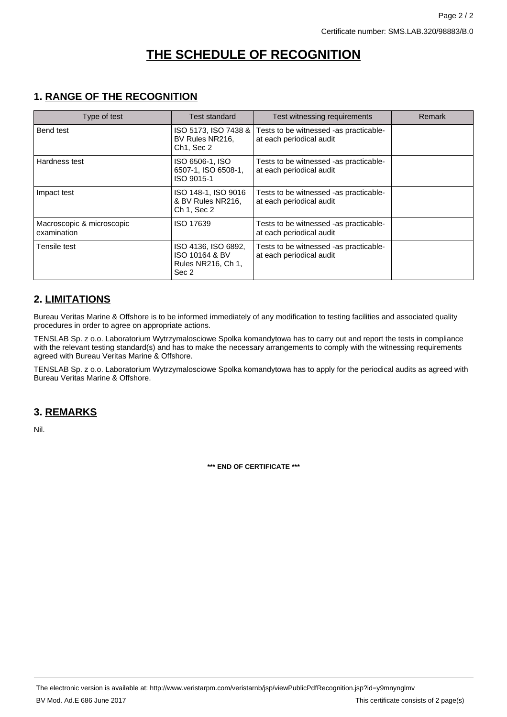## **THE SCHEDULE OF RECOGNITION**

### **1. RANGE OF THE RECOGNITION**

| Type of test                             | Test standard                                                        | Test witnessing requirements                                       | Remark |
|------------------------------------------|----------------------------------------------------------------------|--------------------------------------------------------------------|--------|
| Bend test                                | ISO 5173, ISO 7438 &<br>BV Rules NR216,<br>Ch <sub>1</sub> . Sec 2   | Tests to be witnessed -as practicable-<br>at each periodical audit |        |
| Hardness test                            | ISO 6506-1, ISO<br>6507-1, ISO 6508-1,<br>ISO 9015-1                 | Tests to be witnessed -as practicable-<br>at each periodical audit |        |
| Impact test                              | ISO 148-1, ISO 9016<br>& BV Rules NR216.<br>Ch 1, Sec 2              | Tests to be witnessed -as practicable-<br>at each periodical audit |        |
| Macroscopic & microscopic<br>examination | ISO 17639                                                            | Tests to be witnessed -as practicable-<br>at each periodical audit |        |
| Tensile test                             | ISO 4136, ISO 6892,<br>ISO 10164 & BV<br>Rules NR216, Ch 1,<br>Sec 2 | Tests to be witnessed -as practicable-<br>at each periodical audit |        |

### **2. LIMITATIONS**

Bureau Veritas Marine & Offshore is to be informed immediately of any modification to testing facilities and associated quality procedures in order to agree on appropriate actions.

TENSLAB Sp. z o.o. Laboratorium Wytrzymalosciowe Spolka komandytowa has to carry out and report the tests in compliance with the relevant testing standard(s) and has to make the necessary arrangements to comply with the witnessing requirements agreed with Bureau Veritas Marine & Offshore.

TENSLAB Sp. z o.o. Laboratorium Wytrzymalosciowe Spolka komandytowa has to apply for the periodical audits as agreed with Bureau Veritas Marine & Offshore.

### **3. REMARKS**

Nil.

**\*\*\* END OF CERTIFICATE \*\*\***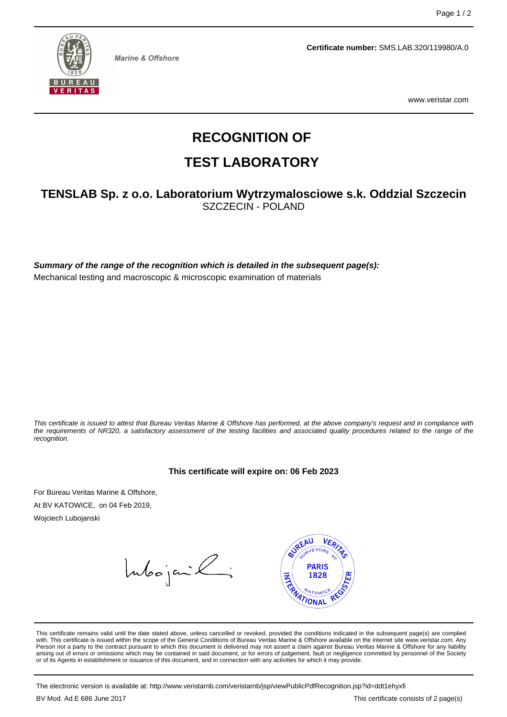

**Marine & Offshore** 

**Certificate number:** SMS.LAB.320/119980/A.0

www.veristar.com

# **RECOGNITION OF**

## **TEST LABORATORY**

### **TENSLAB Sp. z o.o. Laboratorium Wytrzymalosciowe s.k. Oddzial Szczecin** SZCZECIN - POLAND

**Summary of the range of the recognition which is detailed in the subsequent page(s):** Mechanical testing and macroscopic & microscopic examination of materials

This certificate is issued to attest that Bureau Veritas Marine & Offshore has performed, at the above company's request and in compliance with the requirements of NR320, a satisfactory assessment of the testing facilities and associated quality procedures related to the range of the recognition.

#### **This certificate will expire on: 06 Feb 2023**

For Bureau Veritas Marine & Offshore, At BV KATOWICE, on 04 Feb 2019,

Wojciech Lubojanski

Intoojanik;



This certificate remains valid until the date stated above, unless cancelled or revoked, provided the conditions indicated in the subsequent page(s) are complied with. This certificate is issued within the scope of the General Conditions of Bureau Veritas Marine & Offshore available on the internet site www.veristar.com. Any Person not a party to the contract pursuant to which this document is delivered may not assert a claim against Bureau Veritas Marine & Offshore for any liability arising out of errors or omissions which may be contained in said document, or for errors of judgement, fault or negligence committed by personnel of the Society<br>or of its Agents in establishment or issuance of this docume